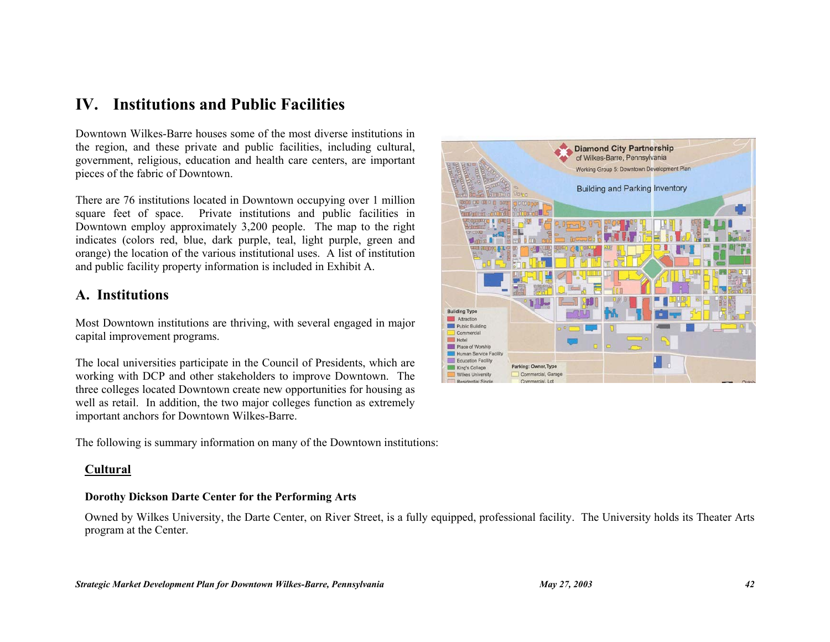# **IV. Institutions and Public Facilities**

Downtown Wilkes-Barre houses some of the most diverse institutions in the region, and these private and public facilities, including cultural, government, religious, education and health care centers, are important pieces of the fabric of Downtown.

There are 76 institutions located in Downtown occupying over 1 million square feet of space. Private institutions and public facilities in Downtown employ approximately 3,200 people. The map to the right indicates (colors red, blue, dark purple, teal, light purple, green and orange) the location of the various institutional uses. A list of institution and public facility property information is included in Exhibit A.

## **A. Institutions**

Most Downtown institutions are thriving, with several engaged in major capital improvement programs.

The local universities participate in the Council of Presidents, which are working with DCP and other stakeholders to improve Downtown. The three colleges located Downtown create new opportunities for housing as well as retail. In addition, the two major colleges function as extremely important anchors for Downtown Wilkes-Barre.

The following is summary information on many of the Downtown institutions:

## **Cultural**

### **Dorothy Dickson Darte Center for the Performing Arts**

Owned by Wilkes University, the Darte Center, on River Street, is a fully equipped, professional facility. The University holds its Theater Arts program at the Center.

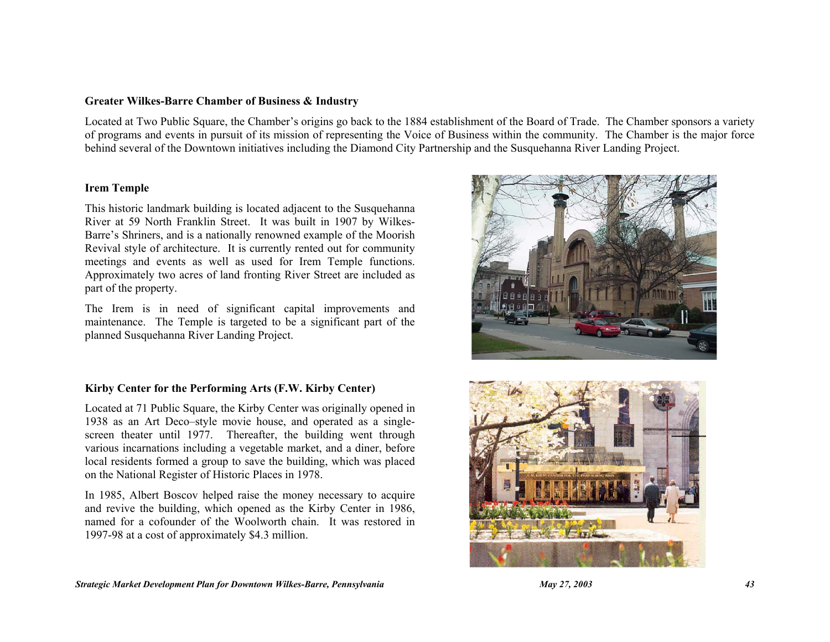#### **Greater Wilkes-Barre Chamber of Business & Industry**

Located at Two Public Square, the Chamber's origins go back to the 1884 establishment of the Board of Trade. The Chamber sponsors a variety of programs and events in pursuit of its mission of representing the Voice of Business within the community. The Chamber is the major force behind several of the Downtown initiatives including the Diamond City Partnership and the Susquehanna River Landing Project.

### **Irem Temple**

This historic landmark building is located adjacent to the Susquehanna River at 59 North Franklin Street. It was built in 1907 by Wilkes-Barre's Shriners, and is a nationally renowned example of the Moorish Revival style of architecture. It is currently rented out for community meetings and events as well as used for Irem Temple functions. Approximately two acres of land fronting River Street are included as part of the property.

The Irem is in need of significant capital improvements and maintenance. The Temple is targeted to be a significant part of the planned Susquehanna River Landing Project.

### **Kirby Center for the Performing Arts (F.W. Kirby Center)**

Located at 71 Public Square, the Kirby Center was originally opened in 1938 as an Art Deco–style movie house, and operated as a singlescreen theater until 1977. Thereafter, the building went through various incarnations including a vegetable market, and a diner, before local residents formed a group to save the building, which was placed on the National Register of Historic Places in 1978.

In 1985, Albert Boscov helped raise the money necessary to acquire and revive the building, which opened as the Kirby Center in 1986, named for a cofounder of the Woolworth chain. It was restored in 1997-98 at a cost of approximately \$4.3 million.



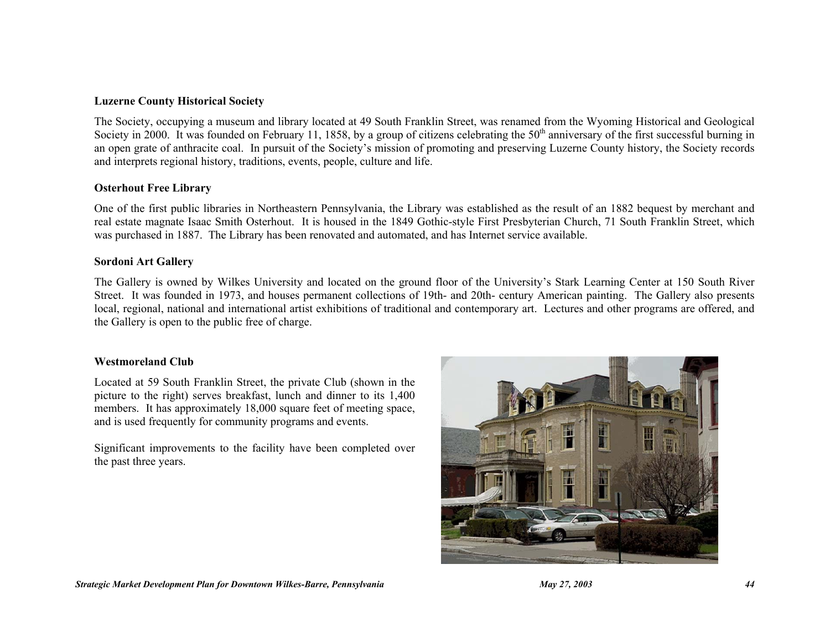### **Luzerne County Historical Society**

The Society, occupying a museum and library located at 49 South Franklin Street, was renamed from the Wyoming Historical and Geological Society in 2000. It was founded on February 11, 1858, by a group of citizens celebrating the 50<sup>th</sup> anniversary of the first successful burning in an open grate of anthracite coal. In pursuit of the Society's mission of promoting and preserving Luzerne County history, the Society records and interprets regional history, traditions, events, people, culture and life.

### **Osterhout Free Library**

One of the first public libraries in Northeastern Pennsylvania, the Library was established as the result of an 1882 bequest by merchant and real estate magnate Isaac Smith Osterhout. It is housed in the 1849 Gothic-style First Presbyterian Church, 71 South Franklin Street, which was purchased in 1887. The Library has been renovated and automated, and has Internet service available.

### **Sordoni Art Gallery**

The Gallery is owned by Wilkes University and located on the ground floor of the University's Stark Learning Center at 150 South River Street. It was founded in 1973, and houses permanent collections of 19th- and 20th- century American painting. The Gallery also presents local, regional, national and international artist exhibitions of traditional and contemporary art. Lectures and other programs are offered, and the Gallery is open to the public free of charge.

### **Westmoreland Club**

Located at 59 South Franklin Street, the private Club (shown in the picture to the right) serves breakfast, lunch and dinner to its 1,400 members. It has approximately 18,000 square feet of meeting space, and is used frequently for community programs and events.

Significant improvements to the facility have been completed over the past three years.



*Strategic Market Development Plan for Downtown Wilkes-Barre, Pennsylvania* May 27, 2003 *May 27, 2003* 44 *44 44*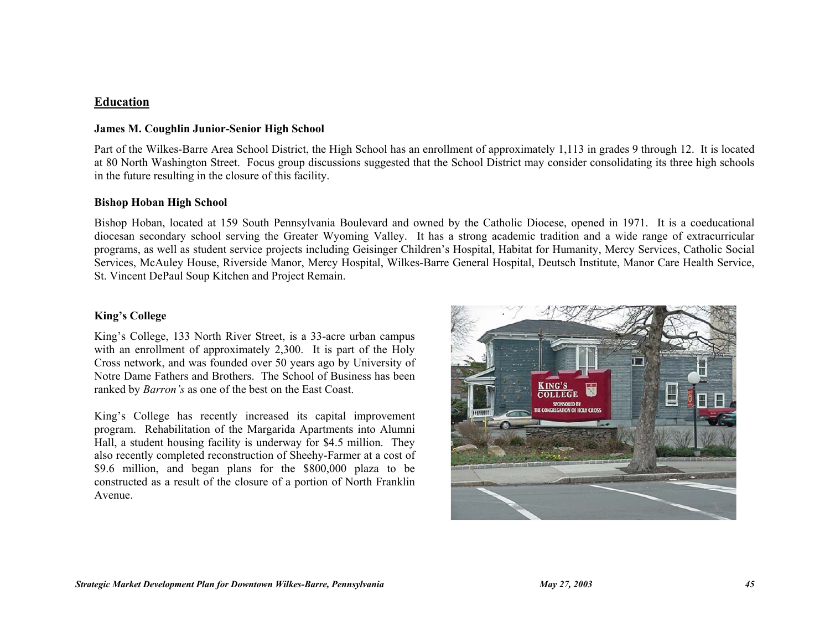### **Education**

### **James M. Coughlin Junior-Senior High School**

Part of the Wilkes-Barre Area School District, the High School has an enrollment of approximately 1,113 in grades 9 through 12. It is located at 80 North Washington Street. Focus group discussions suggested that the School District may consider consolidating its three high schools in the future resulting in the closure of this facility.

### **Bishop Hoban High School**

Bishop Hoban, located at 159 South Pennsylvania Boulevard and owned by the Catholic Diocese, opened in 1971. It is a coeducational diocesan secondary school serving the Greater Wyoming Valley. It has a strong academic tradition and a wide range of extracurricular programs, as well as student service projects including Geisinger Children's Hospital, Habitat for Humanity, Mercy Services, Catholic Social Services, McAuley House, Riverside Manor, Mercy Hospital, Wilkes-Barre General Hospital, Deutsch Institute, Manor Care Health Service, St. Vincent DePaul Soup Kitchen and Project Remain.

### **King's College**

King's College, 133 North River Street, is a 33-acre urban campus with an enrollment of approximately 2,300. It is part of the Holy Cross network, and was founded over 50 years ago by University of Notre Dame Fathers and Brothers. The School of Business has been ranked by *Barron's* as one of the best on the East Coast.

King's College has recently increased its capital improvement program. Rehabilitation of the Margarida Apartments into Alumni Hall, a student housing facility is underway for \$4.5 million. They also recently completed reconstruction of Sheehy-Farmer at a cost of \$9.6 million, and began plans for the \$800,000 plaza to be constructed as a result of the closure of a portion of North Franklin Avenue.

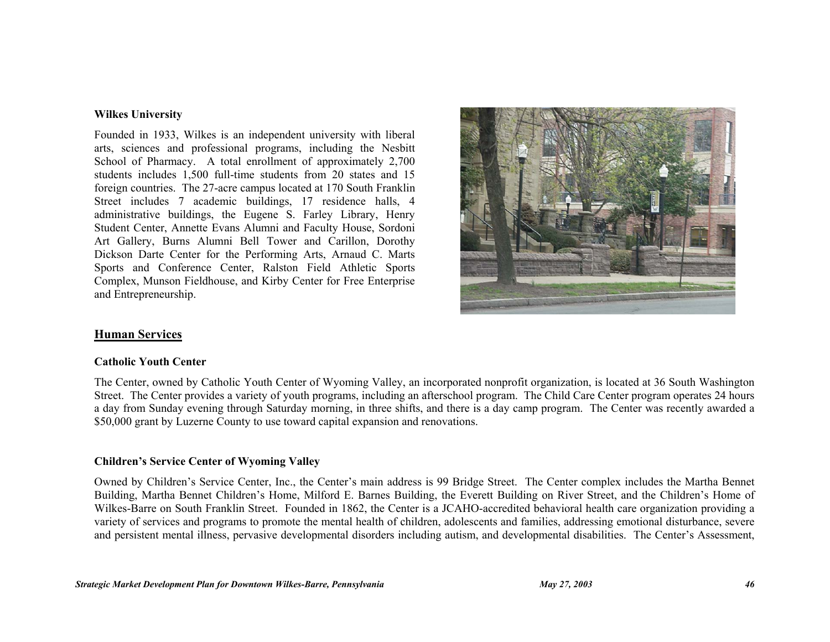### **Wilkes University**

Founded in 1933, Wilkes is an independent university with liberal arts, sciences and professional programs, including the Nesbitt School of Pharmacy. A total enrollment of approximately 2,700 students includes 1,500 full-time students from 20 states and 15 foreign countries. The 27-acre campus located at 170 South Franklin Street includes 7 academic buildings, 17 residence halls, 4 administrative buildings, the Eugene S. Farley Library, Henry Student Center, Annette Evans Alumni and Faculty House, Sordoni Art Gallery, Burns Alumni Bell Tower and Carillon, Dorothy Dickson Darte Center for the Performing Arts, Arnaud C. Marts Sports and Conference Center, Ralston Field Athletic Sports Complex, Munson Fieldhouse, and Kirby Center for Free Enterprise and Entrepreneurship.



### **Human Services**

### **Catholic Youth Center**

The Center, owned by Catholic Youth Center of Wyoming Valley, an incorporated nonprofit organization, is located at 36 South Washington Street. The Center provides a variety of youth programs, including an afterschool program. The Child Care Center program operates 24 hours a day from Sunday evening through Saturday morning, in three shifts, and there is a day camp program. The Center was recently awarded a \$50,000 grant by Luzerne County to use toward capital expansion and renovations.

### **Children's Service Center of Wyoming Valley**

Owned by Children's Service Center, Inc., the Center's main address is 99 Bridge Street. The Center complex includes the Martha Bennet Building, Martha Bennet Children's Home, Milford E. Barnes Building, the Everett Building on River Street, and the Children's Home of Wilkes-Barre on South Franklin Street. Founded in 1862, the Center is a JCAHO-accredited behavioral health care organization providing a variety of services and programs to promote the mental health of children, adolescents and families, addressing emotional disturbance, severe and persistent mental illness, pervasive developmental disorders including autism, and developmental disabilities. The Center's Assessment,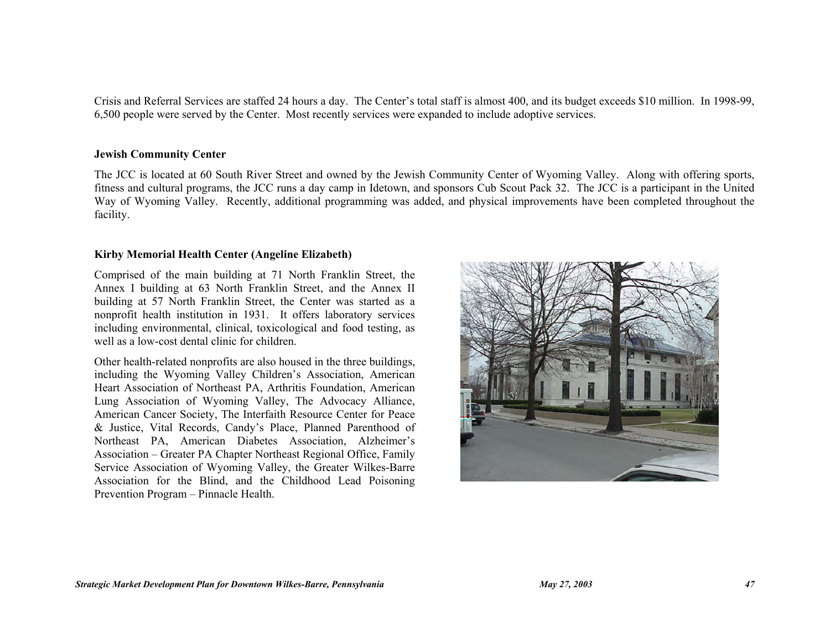Crisis and Referral Services are staffed 24 hours a day. The Center's total staff is almost 400, and its budget exceeds \$10 million. In 1998-99, 6,500 people were served by the Center. Most recently services were expanded to include adoptive services.

### **Jewish Community Center**

The JCC is located at 60 South River Street and owned by the Jewish Community Center of Wyoming Valley. Along with offering sports, fitness and cultural programs, the JCC runs a day camp in Idetown, and sponsors Cub Scout Pack 32. The JCC is a participant in the United Way of Wyoming Valley. Recently, additional programming was added, and physical improvements have been completed throughout the facility.

### **Kirby Memorial Health Center (Angeline Elizabeth)**

Comprised of the main building at 71 North Franklin Street, the Annex I building at 63 North Franklin Street, and the Annex II building at 57 North Franklin Street, the Center was started as a nonprofit health institution in 1931. It offers laboratory services including environmental, clinical, toxicological and food testing, as well as a low-cost dental clinic for children.

Other health-related nonprofits are also housed in the three buildings, including the Wyoming Valley Children's Association, American Heart Association of Northeast PA, Arthritis Foundation, American Lung Association of Wyoming Valley, The Advocacy Alliance, American Cancer Society, The Interfaith Resource Center for Peace & Justice, Vital Records, Candy's Place, Planned Parenthood of Northeast PA, American Diabetes Association, Alzheimer's Association – Greater PA Chapter Northeast Regional Office, Family Service Association of Wyoming Valley, the Greater Wilkes-Barre Association for the Blind, and the Childhood Lead Poisoning Prevention Program – Pinnacle Health.

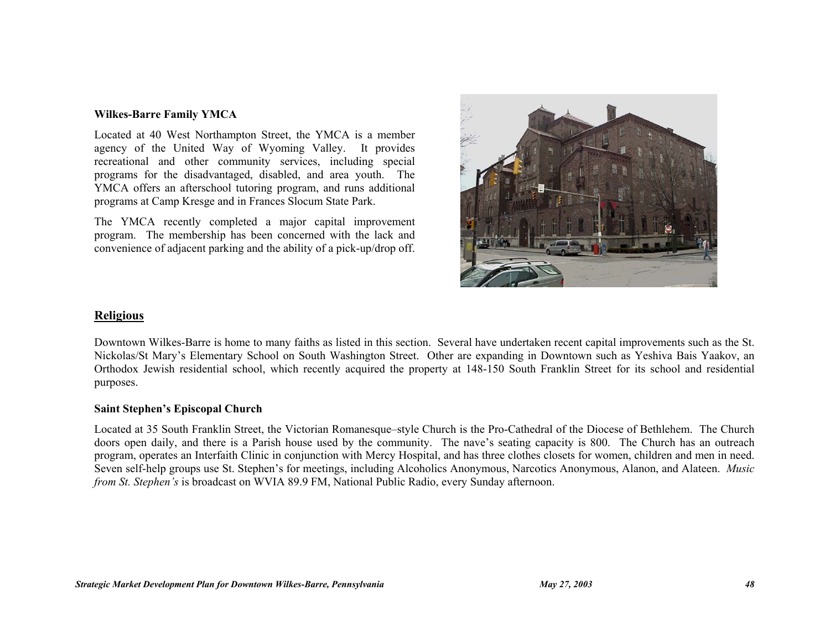#### **Wilkes-Barre Family YMCA**

Located at 40 West Northampton Street, the YMCA is a member agency of the United Way of Wyoming Valley. It provides recreational and other community services, including special programs for the disadvantaged, disabled, and area youth. The YMCA offers an afterschool tutoring program, and runs additional programs at Camp Kresge and in Frances Slocum State Park.

The YMCA recently completed a major capital improvement program. The membership has been concerned with the lack and convenience of adjacent parking and the ability of a pick-up/drop off.



### **Religious**

Downtown Wilkes-Barre is home to many faiths as listed in this section. Several have undertaken recent capital improvements such as the St. Nickolas/St Mary's Elementary School on South Washington Street. Other are expanding in Downtown such as Yeshiva Bais Yaakov, an Orthodox Jewish residential school, which recently acquired the property at 148-150 South Franklin Street for its school and residential purposes.

### **Saint Stephen's Episcopal Church**

Located at 35 South Franklin Street, the Victorian Romanesque–style Church is the Pro-Cathedral of the Diocese of Bethlehem. The Church doors open daily, and there is a Parish house used by the community. The nave's seating capacity is 800. The Church has an outreach program, operates an Interfaith Clinic in conjunction with Mercy Hospital, and has three clothes closets for women, children and men in need. Seven self-help groups use St. Stephen's for meetings, including Alcoholics Anonymous, Narcotics Anonymous, Alanon, and Alateen. *Music from St. Stephen's* is broadcast on WVIA 89.9 FM, National Public Radio, every Sunday afternoon.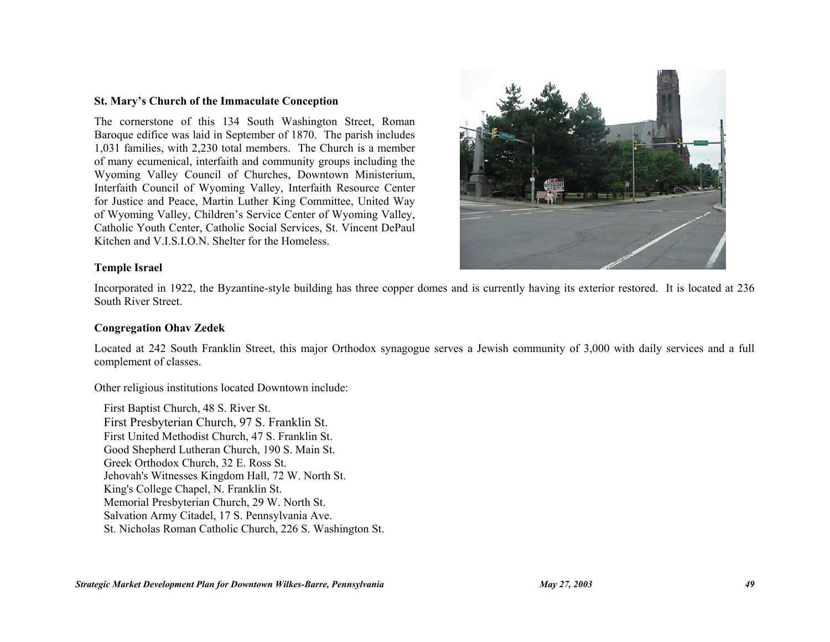#### **St. Mary's Church of the Immaculate Conception**

The cornerstone of this 134 South Washington Street, Roman Baroque edifice was laid in September of 1870. The parish includes 1,031 families, with 2,230 total members. The Church is a member of many ecumenical, interfaith and community groups including the Wyoming Valley Council of Churches, Downtown Ministerium, Interfaith Council of Wyoming Valley, Interfaith Resource Center for Justice and Peace, Martin Luther King Committee, United Way of Wyoming Valley, Children's Service Center of Wyoming Valley, Catholic Youth Center, Catholic Social Services, St. Vincent DePaul Kitchen and V.I.S.I.O.N. Shelter for the Homeless.



### **Temple Israel**

Incorporated in 1922, the Byzantine-style building has three copper domes and is currently having its exterior restored. It is located at 236 South River Street.

#### **Congregation Ohav Zedek**

Located at 242 South Franklin Street, this major Orthodox synagogue serves a Jewish community of 3,000 with daily services and a full complement of classes.

Other religious institutions located Downtown include:

First Baptist Church, 48 S. River St. First Presbyterian Church, 97 S. Franklin St. First United Methodist Church, 47 S. Franklin St. Good Shepherd Lutheran Church, 190 S. Main St. Greek Orthodox Church, 32 E. Ross St. Jehovah's Witnesses Kingdom Hall, 72 W. North St. King's College Chapel, N. Franklin St. Memorial Presbyterian Church, 29 W. North St. Salvation Army Citadel, 17 S. Pennsylvania Ave. St. Nicholas Roman Catholic Church, 226 S. Washington St.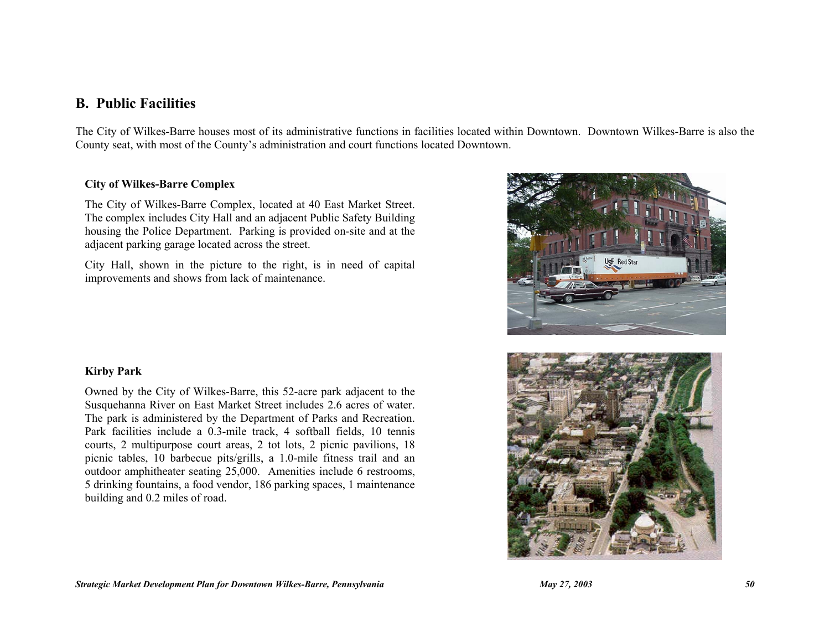## **B. Public Facilities**

The City of Wilkes-Barre houses most of its administrative functions in facilities located within Downtown. Downtown Wilkes-Barre is also the County seat, with most of the County's administration and court functions located Downtown.

### **City of Wilkes-Barre Complex**

The City of Wilkes-Barre Complex, located at 40 East Market Street. The complex includes City Hall and an adjacent Public Safety Building housing the Police Department. Parking is provided on-site and at the adjacent parking garage located across the street.

City Hall, shown in the picture to the right, is in need of capital improvements and shows from lack of maintenance.



### **Kirby Park**

Owned by the City of Wilkes-Barre, this 52-acre park adjacent to the Susquehanna River on East Market Street includes 2.6 acres of water. The park is administered by the Department of Parks and Recreation. Park facilities include a 0.3-mile track, 4 softball fields, 10 tennis courts, 2 multipurpose court areas, 2 tot lots, 2 picnic pavilions, 18 picnic tables, 10 barbecue pits/grills, a 1.0-mile fitness trail and an outdoor amphitheater seating 25,000. Amenities include 6 restrooms, 5 drinking fountains, a food vendor, 186 parking spaces, 1 maintenance building and 0.2 miles of road.